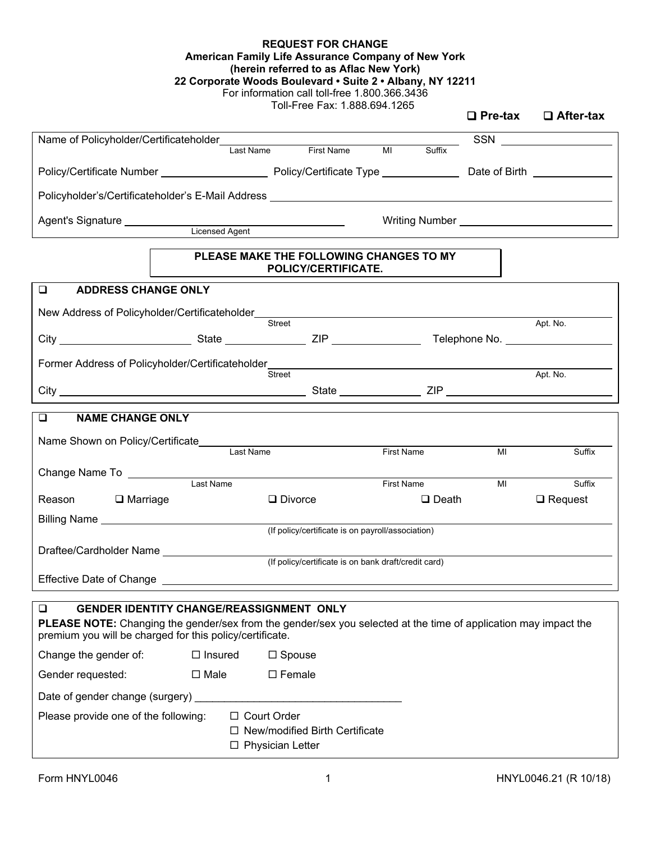| <b>REQUEST FOR CHANGE</b>                                 |
|-----------------------------------------------------------|
| American Family Life Assurance Company of New York        |
| (herein referred to as Aflac New York)                    |
| 22 Corporate Woods Boulevard • Suite 2 • Albany, NY 12211 |

For information call toll-free 1.800.366.3436

Toll-Free Fax: 1.888.694.1265

|                                                                                                                                                                                    |                                                                                                                                                                                                                                  |                                                      |                   |              | $\Box$ Pre-tax | $\Box$ After-tax         |
|------------------------------------------------------------------------------------------------------------------------------------------------------------------------------------|----------------------------------------------------------------------------------------------------------------------------------------------------------------------------------------------------------------------------------|------------------------------------------------------|-------------------|--------------|----------------|--------------------------|
| Name of Policyholder/Certificateholder<br>Last Name First Name MI                                                                                                                  |                                                                                                                                                                                                                                  |                                                      |                   |              |                |                          |
|                                                                                                                                                                                    |                                                                                                                                                                                                                                  |                                                      |                   | Suffix       |                |                          |
|                                                                                                                                                                                    |                                                                                                                                                                                                                                  |                                                      |                   |              |                |                          |
|                                                                                                                                                                                    |                                                                                                                                                                                                                                  |                                                      |                   |              |                |                          |
| Agent's Signature ____________                                                                                                                                                     |                                                                                                                                                                                                                                  |                                                      |                   |              |                |                          |
|                                                                                                                                                                                    | Villa Villa Villa Villa Villa Villa Villa Villa Villa Villa Villa Villa Villa Villa Villa Villa Villa Villa Vi<br>Album Villa Villa Villa Villa Villa Villa Villa Villa Villa Villa Villa Villa Villa Villa Villa Villa Villa Vi |                                                      |                   |              |                |                          |
|                                                                                                                                                                                    | PLEASE MAKE THE FOLLOWING CHANGES TO MY                                                                                                                                                                                          | POLICY/CERTIFICATE.                                  |                   |              |                |                          |
| $\Box$<br><b>ADDRESS CHANGE ONLY</b>                                                                                                                                               |                                                                                                                                                                                                                                  |                                                      |                   |              |                |                          |
| New Address of Policyholder/Certificateholder___________________________________                                                                                                   |                                                                                                                                                                                                                                  |                                                      |                   |              |                |                          |
|                                                                                                                                                                                    |                                                                                                                                                                                                                                  | Street                                               |                   |              |                | Apt. No.                 |
|                                                                                                                                                                                    |                                                                                                                                                                                                                                  |                                                      |                   |              |                |                          |
| Former Address of Policyholder/Certificateholder________________________________                                                                                                   |                                                                                                                                                                                                                                  |                                                      |                   |              |                |                          |
|                                                                                                                                                                                    |                                                                                                                                                                                                                                  | Street                                               |                   |              |                | Apt. No.                 |
|                                                                                                                                                                                    |                                                                                                                                                                                                                                  |                                                      |                   |              |                |                          |
| <b>NAME CHANGE ONLY</b><br>$\Box$                                                                                                                                                  |                                                                                                                                                                                                                                  |                                                      |                   |              |                |                          |
| Name Shown on Policy/Certificate Last Name                                                                                                                                         |                                                                                                                                                                                                                                  |                                                      |                   |              |                |                          |
|                                                                                                                                                                                    |                                                                                                                                                                                                                                  |                                                      | <b>First Name</b> |              | MI             | Suffix                   |
| Change Name To __________                                                                                                                                                          |                                                                                                                                                                                                                                  |                                                      |                   |              |                |                          |
| Reason <b>D</b> Marriage                                                                                                                                                           | Last Name                                                                                                                                                                                                                        | $\Box$ Divorce                                       | First Name        | $\Box$ Death | MI             | Suffix<br>$\Box$ Request |
|                                                                                                                                                                                    |                                                                                                                                                                                                                                  |                                                      |                   |              |                |                          |
|                                                                                                                                                                                    |                                                                                                                                                                                                                                  | (If policy/certificate is on payroll/association)    |                   |              |                |                          |
| Draftee/Cardholder Name                                                                                                                                                            |                                                                                                                                                                                                                                  |                                                      |                   |              |                |                          |
|                                                                                                                                                                                    |                                                                                                                                                                                                                                  | (If policy/certificate is on bank draft/credit card) |                   |              |                |                          |
| Effective Date of Change                                                                                                                                                           |                                                                                                                                                                                                                                  |                                                      |                   |              |                |                          |
| $\Box$<br><b>GENDER IDENTITY CHANGE/REASSIGNMENT ONLY</b>                                                                                                                          |                                                                                                                                                                                                                                  |                                                      |                   |              |                |                          |
| <b>PLEASE NOTE:</b> Changing the gender/sex from the gender/sex you selected at the time of application may impact the<br>premium you will be charged for this policy/certificate. |                                                                                                                                                                                                                                  |                                                      |                   |              |                |                          |
| Change the gender of:                                                                                                                                                              | $\Box$ Insured                                                                                                                                                                                                                   | $\Box$ Spouse                                        |                   |              |                |                          |
| Gender requested:                                                                                                                                                                  | $\Box$ Male                                                                                                                                                                                                                      | $\square$ Female                                     |                   |              |                |                          |
| Date of gender change (surgery)                                                                                                                                                    |                                                                                                                                                                                                                                  |                                                      |                   |              |                |                          |
|                                                                                                                                                                                    |                                                                                                                                                                                                                                  | $\Box$ Court Order                                   |                   |              |                |                          |
| Please provide one of the following:                                                                                                                                               |                                                                                                                                                                                                                                  | $\Box$ New/modified Birth Certificate                |                   |              |                |                          |
|                                                                                                                                                                                    |                                                                                                                                                                                                                                  | $\Box$ Physician Letter                              |                   |              |                |                          |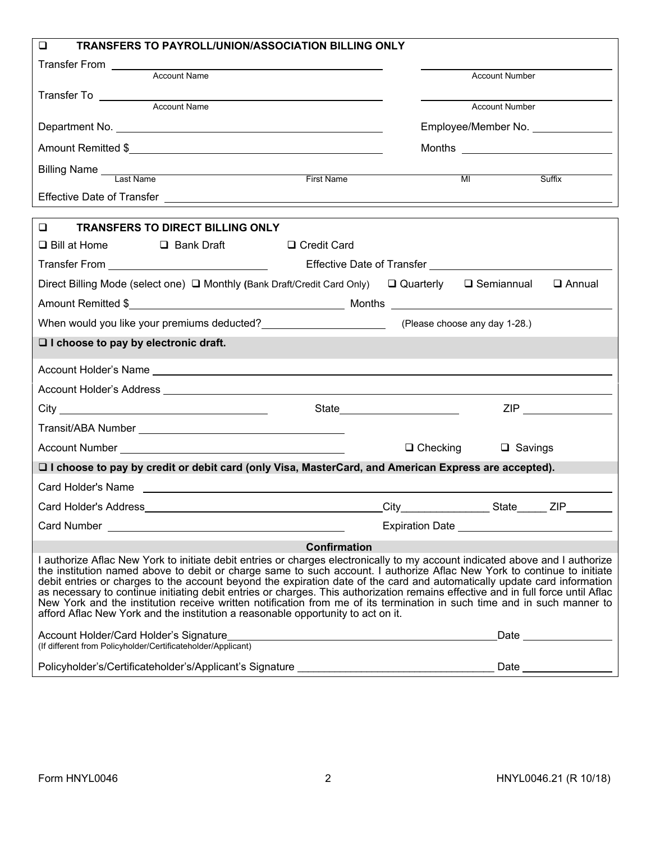| TRANSFERS TO PAYROLL/UNION/ASSOCIATION BILLING ONLY<br>◻                                                                                                                                                                                                                                                                                                                                                                                                                                                                                                                                                                                                                                                                               |                                                       |                                                |
|----------------------------------------------------------------------------------------------------------------------------------------------------------------------------------------------------------------------------------------------------------------------------------------------------------------------------------------------------------------------------------------------------------------------------------------------------------------------------------------------------------------------------------------------------------------------------------------------------------------------------------------------------------------------------------------------------------------------------------------|-------------------------------------------------------|------------------------------------------------|
| Transfer From Transfer From Transfer From Transfer From Transfer From Transfer From Transfer Transfer Transfer<br><b>Account Name</b>                                                                                                                                                                                                                                                                                                                                                                                                                                                                                                                                                                                                  |                                                       |                                                |
|                                                                                                                                                                                                                                                                                                                                                                                                                                                                                                                                                                                                                                                                                                                                        |                                                       | <b>Account Number</b>                          |
|                                                                                                                                                                                                                                                                                                                                                                                                                                                                                                                                                                                                                                                                                                                                        |                                                       | <b>Account Number</b>                          |
|                                                                                                                                                                                                                                                                                                                                                                                                                                                                                                                                                                                                                                                                                                                                        |                                                       | Employee/Member No. ______________             |
|                                                                                                                                                                                                                                                                                                                                                                                                                                                                                                                                                                                                                                                                                                                                        |                                                       |                                                |
|                                                                                                                                                                                                                                                                                                                                                                                                                                                                                                                                                                                                                                                                                                                                        |                                                       |                                                |
| Billing Name Last Name                                                                                                                                                                                                                                                                                                                                                                                                                                                                                                                                                                                                                                                                                                                 | First Name                                            | MI<br>Suffix                                   |
|                                                                                                                                                                                                                                                                                                                                                                                                                                                                                                                                                                                                                                                                                                                                        |                                                       |                                                |
| $\Box$<br><b>TRANSFERS TO DIRECT BILLING ONLY</b>                                                                                                                                                                                                                                                                                                                                                                                                                                                                                                                                                                                                                                                                                      |                                                       |                                                |
| □ Bill at Home □ Bank Draft                                                                                                                                                                                                                                                                                                                                                                                                                                                                                                                                                                                                                                                                                                            | □ Credit Card                                         |                                                |
|                                                                                                                                                                                                                                                                                                                                                                                                                                                                                                                                                                                                                                                                                                                                        |                                                       |                                                |
| Direct Billing Mode (select one) □ Monthly (Bank Draft/Credit Card Only)   □ Quarterly   □ Semiannual                                                                                                                                                                                                                                                                                                                                                                                                                                                                                                                                                                                                                                  |                                                       | $\Box$ Annual                                  |
|                                                                                                                                                                                                                                                                                                                                                                                                                                                                                                                                                                                                                                                                                                                                        |                                                       |                                                |
| When would you like your premiums deducted? _______________________________(Please choose any day 1-28.)                                                                                                                                                                                                                                                                                                                                                                                                                                                                                                                                                                                                                               |                                                       |                                                |
| $\Box$ I choose to pay by electronic draft.                                                                                                                                                                                                                                                                                                                                                                                                                                                                                                                                                                                                                                                                                            |                                                       |                                                |
|                                                                                                                                                                                                                                                                                                                                                                                                                                                                                                                                                                                                                                                                                                                                        |                                                       |                                                |
|                                                                                                                                                                                                                                                                                                                                                                                                                                                                                                                                                                                                                                                                                                                                        |                                                       |                                                |
|                                                                                                                                                                                                                                                                                                                                                                                                                                                                                                                                                                                                                                                                                                                                        |                                                       | ZIP ________________                           |
|                                                                                                                                                                                                                                                                                                                                                                                                                                                                                                                                                                                                                                                                                                                                        |                                                       |                                                |
|                                                                                                                                                                                                                                                                                                                                                                                                                                                                                                                                                                                                                                                                                                                                        |                                                       | $\Box$ Checking<br>$\Box$ Savings              |
| □ I choose to pay by credit or debit card (only Visa, MasterCard, and American Express are accepted).                                                                                                                                                                                                                                                                                                                                                                                                                                                                                                                                                                                                                                  |                                                       |                                                |
|                                                                                                                                                                                                                                                                                                                                                                                                                                                                                                                                                                                                                                                                                                                                        |                                                       |                                                |
| Card Holder's Address                                                                                                                                                                                                                                                                                                                                                                                                                                                                                                                                                                                                                                                                                                                  | City                                                  | <b>ZIP</b><br>State                            |
|                                                                                                                                                                                                                                                                                                                                                                                                                                                                                                                                                                                                                                                                                                                                        |                                                       | Expiration Date ______________________________ |
|                                                                                                                                                                                                                                                                                                                                                                                                                                                                                                                                                                                                                                                                                                                                        | <b>Confirmation</b>                                   |                                                |
| I authorize Aflac New York to initiate debit entries or charges electronically to my account indicated above and I authorize<br>the institution named above to debit or charge same to such account. I authorize Aflac New York to continue to initiate<br>debit entries or charges to the account beyond the expiration date of the card and automatically update card information<br>as necessary to continue initiating debit entries or charges. This authorization remains effective and in full force until Aflac<br>New York and the institution receive written notification from me of its termination in such time and in such manner to<br>afford Aflac New York and the institution a reasonable opportunity to act on it. |                                                       |                                                |
| Account Holder/Card Holder's Signature                                                                                                                                                                                                                                                                                                                                                                                                                                                                                                                                                                                                                                                                                                 | <u> 1989 - Johann Stoff, fransk politik (d. 1989)</u> | Date <u>Date</u>                               |
| (If different from Policyholder/Certificateholder/Applicant)                                                                                                                                                                                                                                                                                                                                                                                                                                                                                                                                                                                                                                                                           |                                                       |                                                |
| Policyholder's/Certificateholder's/Applicant's Signature _______________________                                                                                                                                                                                                                                                                                                                                                                                                                                                                                                                                                                                                                                                       |                                                       | Date                                           |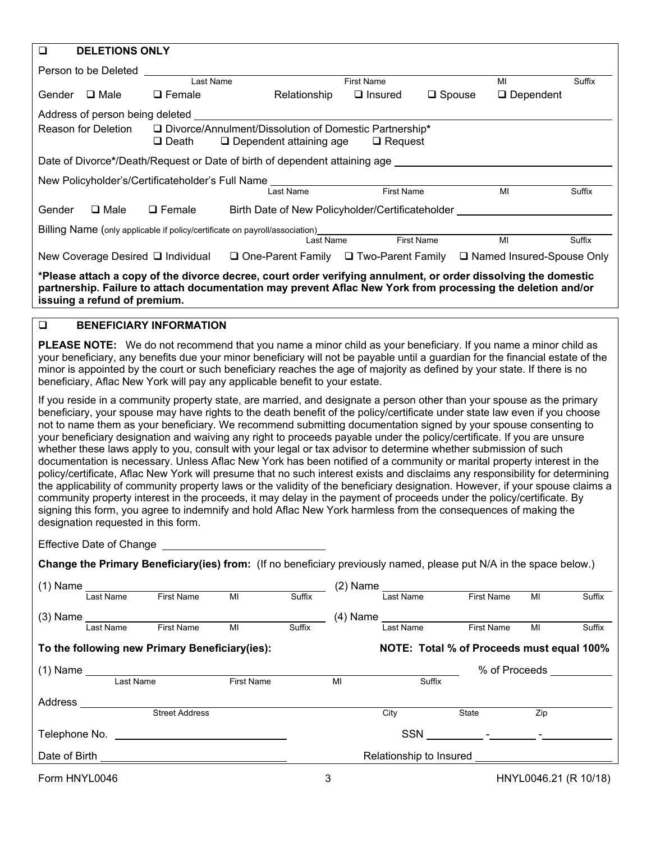| $\Box$ | <b>DELETIONS ONLY</b>           |                                                                             |                                |                                                                            |                   |                                                                                                                                                                                                                                                                                                                                                                                     |        |
|--------|---------------------------------|-----------------------------------------------------------------------------|--------------------------------|----------------------------------------------------------------------------|-------------------|-------------------------------------------------------------------------------------------------------------------------------------------------------------------------------------------------------------------------------------------------------------------------------------------------------------------------------------------------------------------------------------|--------|
|        | Person to be Deleted            |                                                                             |                                |                                                                            |                   |                                                                                                                                                                                                                                                                                                                                                                                     |        |
|        |                                 | Last Name                                                                   |                                | First Name                                                                 |                   | MI                                                                                                                                                                                                                                                                                                                                                                                  | Suffix |
| Gender | $\Box$ Male                     | $\Box$ Female                                                               | Relationship                   | $\Box$ Insured                                                             | $\Box$ Spouse     | $\square$ Dependent                                                                                                                                                                                                                                                                                                                                                                 |        |
|        | Address of person being deleted |                                                                             |                                |                                                                            |                   |                                                                                                                                                                                                                                                                                                                                                                                     |        |
|        | Reason for Deletion             | $\Box$ Death                                                                | $\Box$ Dependent attaining age | □ Divorce/Annulment/Dissolution of Domestic Partnership*<br>$\Box$ Request |                   |                                                                                                                                                                                                                                                                                                                                                                                     |        |
|        |                                 | Date of Divorce*/Death/Request or Date of birth of dependent attaining age  |                                |                                                                            |                   |                                                                                                                                                                                                                                                                                                                                                                                     |        |
|        |                                 | New Policyholder's/Certificateholder's Full Name                            |                                |                                                                            |                   |                                                                                                                                                                                                                                                                                                                                                                                     |        |
|        |                                 |                                                                             | <b>Last Name</b>               | <b>First Name</b>                                                          |                   | MI                                                                                                                                                                                                                                                                                                                                                                                  | Suffix |
| Gender | $\Box$ Male                     | $\Box$ Female                                                               |                                | Birth Date of New Policyholder/Certificateholder                           |                   |                                                                                                                                                                                                                                                                                                                                                                                     |        |
|        |                                 | Billing Name (only applicable if policy/certificate on payroll/association) |                                |                                                                            |                   |                                                                                                                                                                                                                                                                                                                                                                                     |        |
|        |                                 |                                                                             | Last Name                      |                                                                            | <b>First Name</b> | MI                                                                                                                                                                                                                                                                                                                                                                                  | Suffix |
|        |                                 |                                                                             |                                |                                                                            |                   | New Coverage Desired □ Individual □ One-Parent Family □ Two-Parent Family □ Named Insured-Spouse Only                                                                                                                                                                                                                                                                               |        |
|        | issuing a refund of premium.    |                                                                             |                                |                                                                            |                   | *Please attach a copy of the divorce decree, court order verifying annulment, or order dissolving the domestic<br>partnership. Failure to attach documentation may prevent Aflac New York from processing the deletion and/or                                                                                                                                                       |        |
| $\Box$ |                                 | <b>BENEFICIARY INFORMATION</b>                                              |                                |                                                                            |                   |                                                                                                                                                                                                                                                                                                                                                                                     |        |
|        |                                 | beneficiary, Aflac New York will pay any applicable benefit to your estate. |                                |                                                                            |                   | <b>PLEASE NOTE:</b> We do not recommend that you name a minor child as your beneficiary. If you name a minor child as<br>your beneficiary, any benefits due your minor beneficiary will not be payable until a guardian for the financial estate of the<br>minor is appointed by the court or such beneficiary reaches the age of majority as defined by your state. If there is no |        |
|        |                                 |                                                                             |                                |                                                                            |                   | If you reside in a community property state, are married, and designate a person other than your spouse as the primary<br>beneficiary, your spouse may have rights to the death benefit of the policy/certificate under state law even if you choose<br>not to name them as your heneficiary. We recommend submitting documentation signed by your spouse consenting to             |        |

to name them as your beneficiary. We recommend submitting documentation signed by your spouse consenting to your beneficiary designation and waiving any right to proceeds payable under the policy/certificate. If you are unsure whether these laws apply to you, consult with your legal or tax advisor to determine whether submission of such documentation is necessary. Unless Aflac New York has been notified of a community or marital property interest in the policy/certificate, Aflac New York will presume that no such interest exists and disclaims any responsibility for determining the applicability of community property laws or the validity of the beneficiary designation. However, if your spouse claims a community property interest in the proceeds, it may delay in the payment of proceeds under the policy/certificate. By signing this form, you agree to indemnify and hold Aflac New York harmless from the consequences of making the designation requested in this form.

Effective Date of Change

**Change the Primary Beneficiary(ies) from:** (If no beneficiary previously named, please put N/A in the space below.)

| $(1)$ Name    |           |                                                |                   |        | (2) Name |            |                                           |                   |     |        |
|---------------|-----------|------------------------------------------------|-------------------|--------|----------|------------|-------------------------------------------|-------------------|-----|--------|
|               | Last Name | <b>First Name</b>                              | MI                | Suffix |          | Last Name  |                                           | <b>First Name</b> | MI  | Suffix |
| $(3)$ Name    |           |                                                |                   |        |          |            |                                           |                   |     |        |
|               | Last Name | <b>First Name</b>                              | MI                | Suffix |          | Last Name  |                                           | <b>First Name</b> | MI  | Suffix |
|               |           | To the following new Primary Beneficiary(ies): |                   |        |          |            | NOTE: Total % of Proceeds must equal 100% |                   |     |        |
| $(1)$ Name    |           |                                                |                   |        |          |            |                                           | % of Proceeds     |     |        |
|               | Last Name |                                                | <b>First Name</b> |        | MI       |            | Suffix                                    |                   |     |        |
| Address       |           |                                                |                   |        |          |            |                                           |                   |     |        |
|               |           | <b>Street Address</b>                          |                   |        |          | City       | State                                     |                   | Zip |        |
| Telephone No. |           |                                                |                   |        |          | <b>SSN</b> |                                           |                   |     |        |
| Date of Birth |           |                                                |                   |        |          |            | Relationship to Insured                   |                   |     |        |
|               |           |                                                |                   |        |          |            |                                           |                   |     |        |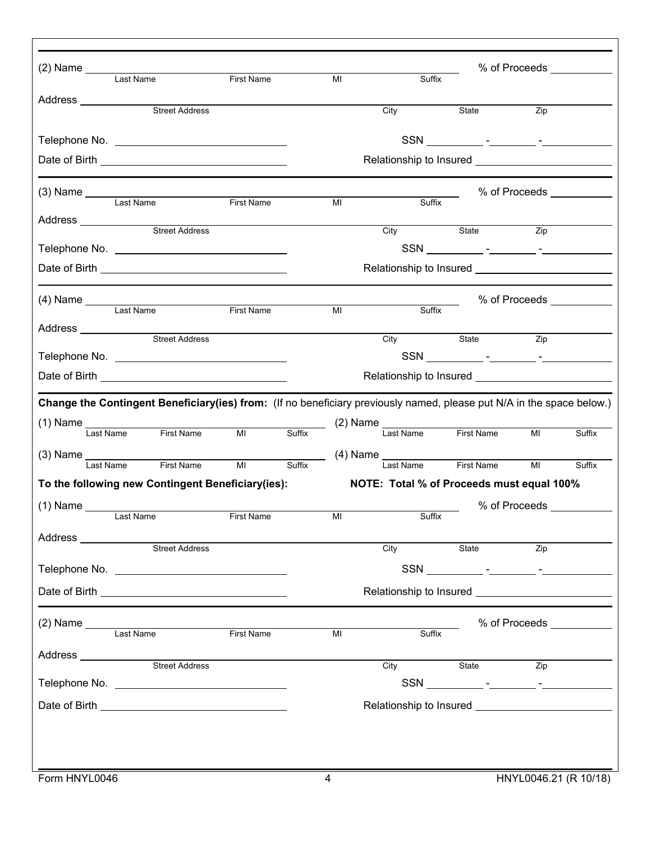|                                         | (2) Name<br>Last Name First Name                                                                                      |                   |        | MI             | Suffix                                    |            |                  | % of Proceeds ____________ |  |  |
|-----------------------------------------|-----------------------------------------------------------------------------------------------------------------------|-------------------|--------|----------------|-------------------------------------------|------------|------------------|----------------------------|--|--|
|                                         |                                                                                                                       |                   |        |                |                                           |            |                  |                            |  |  |
| Address ______________                  | <b>Street Address</b>                                                                                                 |                   |        |                | City                                      | State      | Zip              |                            |  |  |
|                                         |                                                                                                                       |                   |        |                |                                           |            |                  |                            |  |  |
|                                         |                                                                                                                       |                   |        |                |                                           |            |                  |                            |  |  |
|                                         |                                                                                                                       |                   |        |                |                                           |            |                  |                            |  |  |
|                                         | (3) Name Last Name First Name                                                                                         |                   |        |                |                                           |            |                  | % of Proceeds ___________  |  |  |
|                                         |                                                                                                                       |                   |        | MI             | Suffix                                    |            |                  |                            |  |  |
|                                         | Address <u>Street Address</u>                                                                                         |                   |        |                | City                                      | State      | Zip              |                            |  |  |
|                                         |                                                                                                                       |                   |        |                |                                           |            |                  |                            |  |  |
|                                         |                                                                                                                       |                   |        |                |                                           |            |                  |                            |  |  |
|                                         |                                                                                                                       |                   |        |                |                                           |            |                  | % of Proceeds ____________ |  |  |
|                                         | Last Name                                                                                                             | <b>First Name</b> |        | M <sub>l</sub> | Suffix                                    |            |                  |                            |  |  |
| Address ________________                | Street Address                                                                                                        |                   |        |                | $\overline{C}$ ity                        | State Zip  |                  |                            |  |  |
|                                         | Telephone No. 2008 2010 12:00:00 12:00:00 12:00:00 12:00:00 12:00:00 12:00:00 12:00:00 12:00:00 12:00:00 12:00        |                   |        |                |                                           |            |                  |                            |  |  |
|                                         |                                                                                                                       |                   |        |                |                                           |            |                  |                            |  |  |
|                                         | Change the Contingent Beneficiary(ies) from: (If no beneficiary previously named, please put N/A in the space below.) |                   |        |                |                                           |            |                  |                            |  |  |
|                                         | (1) Name<br>Last Name First Name MI Suffix (2) Name Last Name First Name                                              |                   |        |                |                                           |            |                  |                            |  |  |
|                                         |                                                                                                                       |                   |        |                |                                           |            | MI               | Suffix                     |  |  |
| $(3)$ Name $\frac{1}{\text{Last Name}}$ |                                                                                                                       |                   | Suffix |                | Suffix (4) Name Last Name                 |            |                  |                            |  |  |
|                                         | First Name                                                                                                            | MI                |        |                |                                           | First Name | MI               | Suffix                     |  |  |
|                                         | To the following new Contingent Beneficiary(ies):                                                                     |                   |        |                | NOTE: Total % of Proceeds must equal 100% |            |                  |                            |  |  |
| $(1)$ Name $\_\_$                       | Last Name                                                                                                             | First Name        |        | M <sub>l</sub> | Suffix                                    |            |                  |                            |  |  |
|                                         |                                                                                                                       |                   |        |                |                                           |            |                  |                            |  |  |
|                                         | Address<br>Street Address                                                                                             |                   |        |                | City                                      | State      | <b>Example 2</b> |                            |  |  |
|                                         |                                                                                                                       |                   |        |                |                                           |            |                  |                            |  |  |
|                                         |                                                                                                                       |                   |        |                |                                           |            |                  |                            |  |  |
|                                         |                                                                                                                       |                   |        |                |                                           |            |                  |                            |  |  |
|                                         |                                                                                                                       |                   |        | MI             | Suffix                                    |            |                  | % of Proceeds ____________ |  |  |
|                                         |                                                                                                                       |                   |        |                |                                           |            |                  |                            |  |  |
|                                         |                                                                                                                       |                   |        |                | City                                      | State Zip  |                  |                            |  |  |
|                                         |                                                                                                                       |                   |        |                |                                           |            |                  |                            |  |  |
|                                         |                                                                                                                       |                   |        |                |                                           |            |                  |                            |  |  |
|                                         |                                                                                                                       |                   |        |                |                                           |            |                  |                            |  |  |
|                                         |                                                                                                                       |                   |        |                |                                           |            |                  |                            |  |  |
| Form HNYL0046                           |                                                                                                                       |                   |        | 4              |                                           |            |                  | HNYL0046.21 (R 10/18)      |  |  |